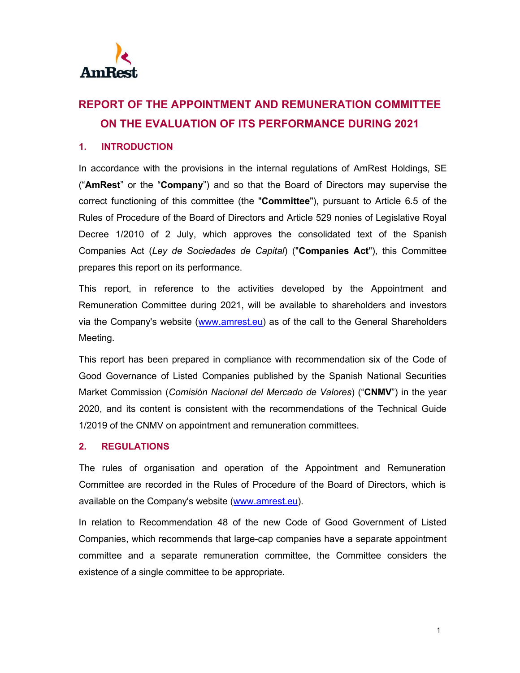

# **REPORT OF THE APPOINTMENT AND REMUNERATION COMMITTEE ON THE EVALUATION OF ITS PERFORMANCE DURING 2021**

#### **1. INTRODUCTION**

In accordance with the provisions in the internal regulations of AmRest Holdings, SE ("**AmRest**" or the "**Company**") and so that the Board of Directors may supervise the correct functioning of this committee (the "**Committee**"), pursuant to Article 6.5 of the Rules of Procedure of the Board of Directors and Article 529 nonies of Legislative Royal Decree 1/2010 of 2 July, which approves the consolidated text of the Spanish Companies Act (*Ley de Sociedades de Capital*) ("**Companies Act**"), this Committee prepares this report on its performance.

This report, in reference to the activities developed by the Appointment and Remuneration Committee during 2021, will be available to shareholders and investors via the Company's website (www.amrest.eu) as of the call to the General Shareholders Meeting.

This report has been prepared in compliance with recommendation six of the Code of Good Governance of Listed Companies published by the Spanish National Securities Market Commission (*Comisión Nacional del Mercado de Valores*) ("**CNMV**") in the year 2020, and its content is consistent with the recommendations of the Technical Guide 1/2019 of the CNMV on appointment and remuneration committees.

## **2. REGULATIONS**

The rules of organisation and operation of the Appointment and Remuneration Committee are recorded in the Rules of Procedure of the Board of Directors, which is available on the Company's website (www.amrest.eu).

In relation to Recommendation 48 of the new Code of Good Government of Listed Companies, which recommends that large-cap companies have a separate appointment committee and a separate remuneration committee, the Committee considers the existence of a single committee to be appropriate.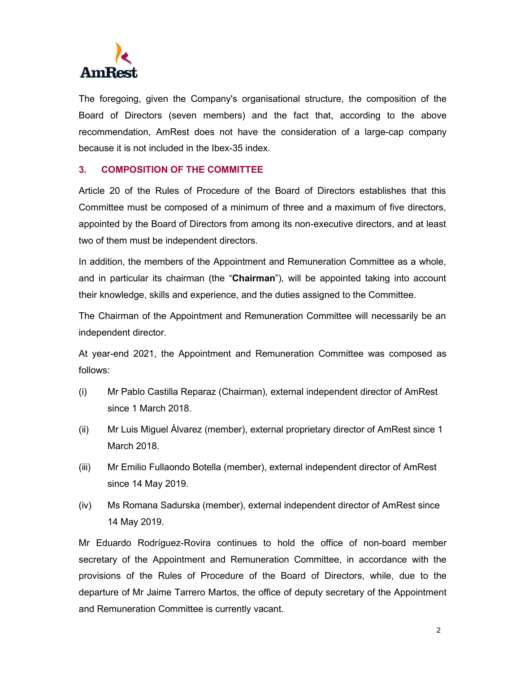

The foregoing, given the Company's organisational structure, the composition of the Board of Directors (seven members) and the fact that, according to the above recommendation, AmRest does not have the consideration of a large-cap company because it is not included in the Ibex-35 index.

#### **3. COMPOSITION OF THE COMMITTEE**

Article 20 of the Rules of Procedure of the Board of Directors establishes that this Committee must be composed of a minimum of three and a maximum of five directors, appointed by the Board of Directors from among its non-executive directors, and at least two of them must be independent directors.

In addition, the members of the Appointment and Remuneration Committee as a whole, and in particular its chairman (the "**Chairman**"), will be appointed taking into account their knowledge, skills and experience, and the duties assigned to the Committee.

The Chairman of the Appointment and Remuneration Committee will necessarily be an independent director.

At year-end 2021, the Appointment and Remuneration Committee was composed as follows:

- (i) Mr Pablo Castilla Reparaz (Chairman), external independent director of AmRest since 1 March 2018.
- (ii) Mr Luis Miguel Álvarez (member), external proprietary director of AmRest since 1 March 2018.
- (iii) Mr Emilio Fullaondo Botella (member), external independent director of AmRest since 14 May 2019.
- (iv) Ms Romana Sadurska (member), external independent director of AmRest since 14 May 2019.

Mr Eduardo Rodríguez-Rovira continues to hold the office of non-board member secretary of the Appointment and Remuneration Committee, in accordance with the provisions of the Rules of Procedure of the Board of Directors, while, due to the departure of Mr Jaime Tarrero Martos, the office of deputy secretary of the Appointment and Remuneration Committee is currently vacant.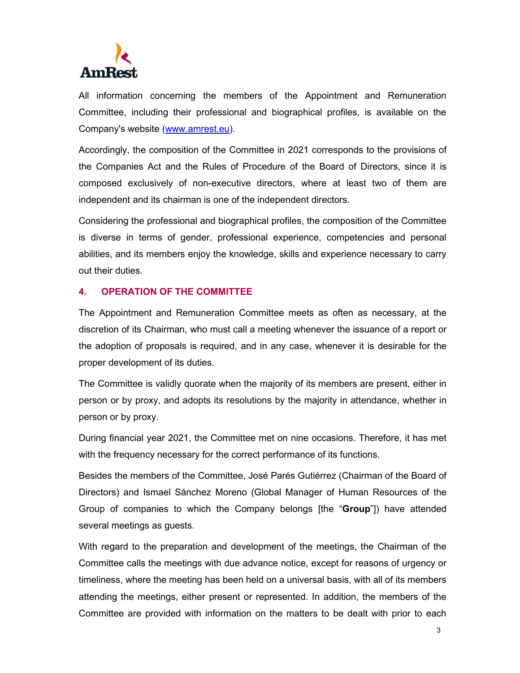

All information concerning the members of the Appointment and Remuneration Committee, including their professional and biographical profiles, is available on the Company's website (www.amrest.eu).

Accordingly, the composition of the Committee in 2021 corresponds to the provisions of the Companies Act and the Rules of Procedure of the Board of Directors, since it is composed exclusively of non-executive directors, where at least two of them are independent and its chairman is one of the independent directors.

Considering the professional and biographical profiles, the composition of the Committee is diverse in terms of gender, professional experience, competencies and personal abilities, and its members enjoy the knowledge, skills and experience necessary to carry out their duties.

#### **4. OPERATION OF THE COMMITTEE**

The Appointment and Remuneration Committee meets as often as necessary, at the discretion of its Chairman, who must call a meeting whenever the issuance of a report or the adoption of proposals is required, and in any case, whenever it is desirable for the proper development of its duties.

The Committee is validly quorate when the majority of its members are present, either in person or by proxy, and adopts its resolutions by the majority in attendance, whether in person or by proxy.

During financial year 2021, the Committee met on nine occasions. Therefore, it has met with the frequency necessary for the correct performance of its functions.

Besides the members of the Committee, José Parés Gutiérrez (Chairman of the Board of Directors) and Ismael Sánchez Moreno (Global Manager of Human Resources of the Group of companies to which the Company belongs [the "**Group**"]) have attended several meetings as guests.

With regard to the preparation and development of the meetings, the Chairman of the Committee calls the meetings with due advance notice, except for reasons of urgency or timeliness, where the meeting has been held on a universal basis, with all of its members attending the meetings, either present or represented. In addition, the members of the Committee are provided with information on the matters to be dealt with prior to each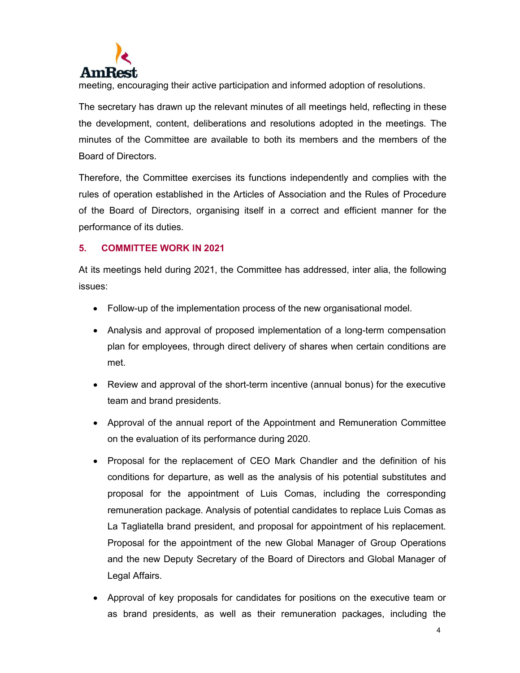

meeting, encouraging their active participation and informed adoption of resolutions.

The secretary has drawn up the relevant minutes of all meetings held, reflecting in these the development, content, deliberations and resolutions adopted in the meetings. The minutes of the Committee are available to both its members and the members of the Board of Directors.

Therefore, the Committee exercises its functions independently and complies with the rules of operation established in the Articles of Association and the Rules of Procedure of the Board of Directors, organising itself in a correct and efficient manner for the performance of its duties.

### **5. COMMITTEE WORK IN 2021**

At its meetings held during 2021, the Committee has addressed, inter alia, the following issues:

- Follow-up of the implementation process of the new organisational model.
- Analysis and approval of proposed implementation of a long-term compensation plan for employees, through direct delivery of shares when certain conditions are met.
- Review and approval of the short-term incentive (annual bonus) for the executive team and brand presidents.
- Approval of the annual report of the Appointment and Remuneration Committee on the evaluation of its performance during 2020.
- Proposal for the replacement of CEO Mark Chandler and the definition of his conditions for departure, as well as the analysis of his potential substitutes and proposal for the appointment of Luis Comas, including the corresponding remuneration package. Analysis of potential candidates to replace Luis Comas as La Tagliatella brand president, and proposal for appointment of his replacement. Proposal for the appointment of the new Global Manager of Group Operations and the new Deputy Secretary of the Board of Directors and Global Manager of Legal Affairs.
- Approval of key proposals for candidates for positions on the executive team or as brand presidents, as well as their remuneration packages, including the